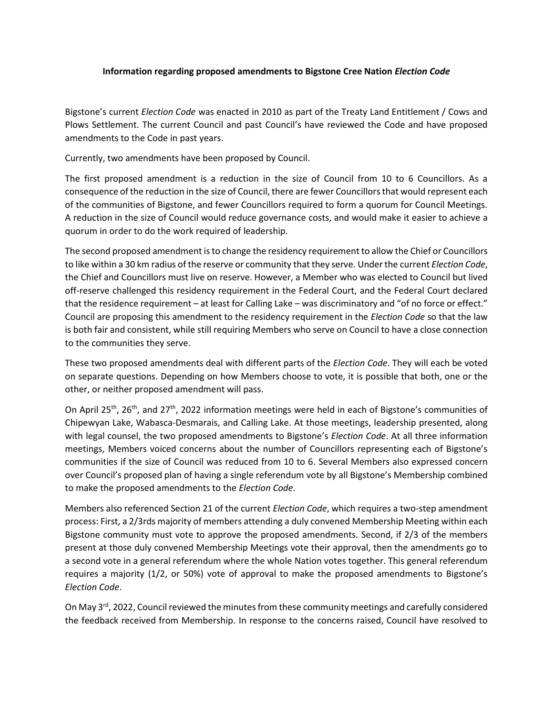## **Information regarding proposed amendments to Bigstone Cree Nation** *Election Code*

Bigstone's current *Election Code* was enacted in 2010 as part of the Treaty Land Entitlement / Cows and Plows Settlement. The current Council and past Council's have reviewed the Code and have proposed amendments to the Code in past years.

Currently, two amendments have been proposed by Council.

The first proposed amendment is a reduction in the size of Council from 10 to 6 Councillors. As a consequence of the reduction in the size of Council, there are fewer Councillors that would represent each of the communities of Bigstone, and fewer Councillors required to form a quorum for Council Meetings. A reduction in the size of Council would reduce governance costs, and would make it easier to achieve a quorum in order to do the work required of leadership.

The second proposed amendment is to change the residency requirement to allow the Chief or Councillors to like within a 30 km radius of the reserve or community that they serve. Under the current *Election Code*, the Chief and Councillors must live on reserve. However, a Member who was elected to Council but lived off-reserve challenged this residency requirement in the Federal Court, and the Federal Court declared that the residence requirement – at least for Calling Lake – was discriminatory and "of no force or effect." Council are proposing this amendment to the residency requirement in the *Election Code* so that the law is both fair and consistent, while still requiring Members who serve on Council to have a close connection to the communities they serve.

These two proposed amendments deal with different parts of the *Election Code*. They will each be voted on separate questions. Depending on how Members choose to vote, it is possible that both, one or the other, or neither proposed amendment will pass.

On April 25<sup>th</sup>, 26<sup>th</sup>, and 27<sup>th</sup>, 2022 information meetings were held in each of Bigstone's communities of Chipewyan Lake, Wabasca-Desmarais, and Calling Lake. At those meetings, leadership presented, along with legal counsel, the two proposed amendments to Bigstone's *Election Code*. At all three information meetings, Members voiced concerns about the number of Councillors representing each of Bigstone's communities if the size of Council was reduced from 10 to 6. Several Members also expressed concern over Council's proposed plan of having a single referendum vote by all Bigstone's Membership combined to make the proposed amendments to the *Election Code*.

Members also referenced Section 21 of the current *Election Code*, which requires a two-step amendment process: First, a 2/3rds majority of members attending a duly convened Membership Meeting within each Bigstone community must vote to approve the proposed amendments. Second, if 2/3 of the members present at those duly convened Membership Meetings vote their approval, then the amendments go to a second vote in a general referendum where the whole Nation votes together. This general referendum requires a majority (1/2, or 50%) vote of approval to make the proposed amendments to Bigstone's *Election Code*.

On May 3<sup>rd</sup>, 2022, Council reviewed the minutes from these community meetings and carefully considered the feedback received from Membership. In response to the concerns raised, Council have resolved to